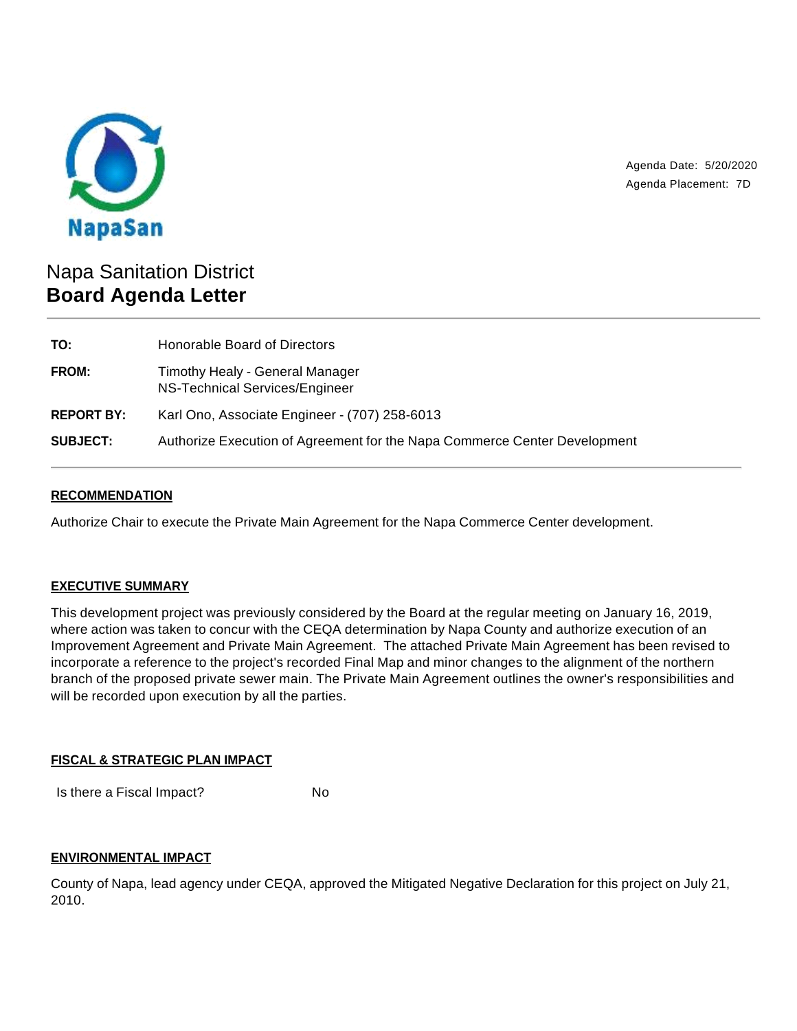

Agenda Date: 5/20/2020 Agenda Placement: 7D

# Napa Sanitation District **Board Agenda Letter**

| Honorable Board of Directors                                              |
|---------------------------------------------------------------------------|
| Timothy Healy - General Manager<br>NS-Technical Services/Engineer         |
| Karl Ono, Associate Engineer - (707) 258-6013                             |
| Authorize Execution of Agreement for the Napa Commerce Center Development |
|                                                                           |

## **RECOMMENDATION**

Authorize Chair to execute the Private Main Agreement for the Napa Commerce Center development.

# **EXECUTIVE SUMMARY**

This development project was previously considered by the Board at the regular meeting on January 16, 2019, where action was taken to concur with the CEQA determination by Napa County and authorize execution of an Improvement Agreement and Private Main Agreement. The attached Private Main Agreement has been revised to incorporate a reference to the project's recorded Final Map and minor changes to the alignment of the northern branch of the proposed private sewer main. The Private Main Agreement outlines the owner's responsibilities and will be recorded upon execution by all the parties.

## **FISCAL & STRATEGIC PLAN IMPACT**

Is there a Fiscal Impact? No

## **ENVIRONMENTAL IMPACT**

County of Napa, lead agency under CEQA, approved the Mitigated Negative Declaration for this project on July 21, 2010.